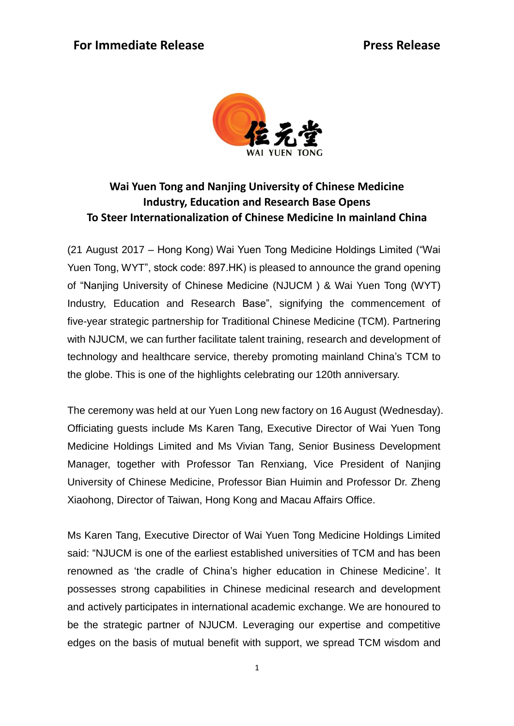

## **Wai Yuen Tong and Nanjing University of Chinese Medicine Industry, Education and Research Base Opens To Steer Internationalization of Chinese Medicine In mainland China**

(21 August 2017 – Hong Kong) Wai Yuen Tong Medicine Holdings Limited ("Wai Yuen Tong, WYT", stock code: 897.HK) is pleased to announce the grand opening of "Nanjing University of Chinese Medicine (NJUCM ) & Wai Yuen Tong (WYT) Industry, Education and Research Base", signifying the commencement of five-year strategic partnership for Traditional Chinese Medicine (TCM). Partnering with NJUCM, we can further facilitate talent training, research and development of technology and healthcare service, thereby promoting mainland China"s TCM to the globe. This is one of the highlights celebrating our 120th anniversary.

The ceremony was held at our Yuen Long new factory on 16 August (Wednesday). Officiating guests include Ms Karen Tang, Executive Director of Wai Yuen Tong Medicine Holdings Limited and Ms Vivian Tang, Senior Business Development Manager, together with Professor Tan Renxiang, Vice President of Nanjing University of Chinese Medicine, Professor Bian Huimin and Professor Dr. Zheng Xiaohong, Director of Taiwan, Hong Kong and Macau Affairs Office.

Ms Karen Tang, Executive Director of Wai Yuen Tong Medicine Holdings Limited said: "NJUCM is one of the earliest established universities of TCM and has been renowned as "the cradle of China"s higher education in Chinese Medicine". It possesses strong capabilities in Chinese medicinal research and development and actively participates in international academic exchange. We are honoured to be the strategic partner of NJUCM. Leveraging our expertise and competitive edges on the basis of mutual benefit with support, we spread TCM wisdom and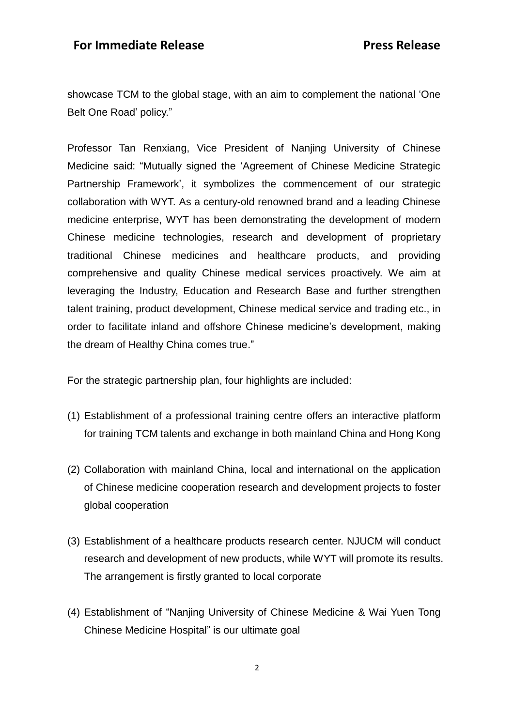showcase TCM to the global stage, with an aim to complement the national "One Belt One Road" policy."

Professor Tan Renxiang, Vice President of Nanjing University of Chinese Medicine said: "Mutually signed the "Agreement of Chinese Medicine Strategic Partnership Framework", it symbolizes the commencement of our strategic collaboration with WYT. As a century-old renowned brand and a leading Chinese medicine enterprise, WYT has been demonstrating the development of modern Chinese medicine technologies, research and development of proprietary traditional Chinese medicines and healthcare products, and providing comprehensive and quality Chinese medical services proactively. We aim at leveraging the Industry, Education and Research Base and further strengthen talent training, product development, Chinese medical service and trading etc., in order to facilitate inland and offshore Chinese medicine's development, making the dream of Healthy China comes true."

For the strategic partnership plan, four highlights are included:

- (1) Establishment of a professional training centre offers an interactive platform for training TCM talents and exchange in both mainland China and Hong Kong
- (2) Collaboration with mainland China, local and international on the application of Chinese medicine cooperation research and development projects to foster global cooperation
- (3) Establishment of a healthcare products research center. NJUCM will conduct research and development of new products, while WYT will promote its results. The arrangement is firstly granted to local corporate
- (4) Establishment of "Nanjing University of Chinese Medicine & Wai Yuen Tong Chinese Medicine Hospital" is our ultimate goal

2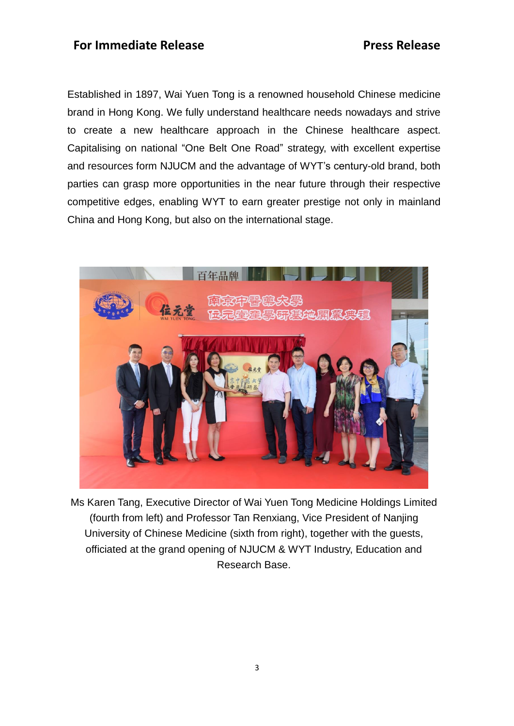Established in 1897, Wai Yuen Tong is a renowned household Chinese medicine brand in Hong Kong. We fully understand healthcare needs nowadays and strive to create a new healthcare approach in the Chinese healthcare aspect. Capitalising on national "One Belt One Road" strategy, with excellent expertise and resources form NJUCM and the advantage of WYT"s century-old brand, both parties can grasp more opportunities in the near future through their respective competitive edges, enabling WYT to earn greater prestige not only in mainland China and Hong Kong, but also on the international stage.



Ms Karen Tang, Executive Director of Wai Yuen Tong Medicine Holdings Limited (fourth from left) and Professor Tan Renxiang, Vice President of Nanjing University of Chinese Medicine (sixth from right), together with the guests, officiated at the grand opening of NJUCM & WYT Industry, Education and Research Base.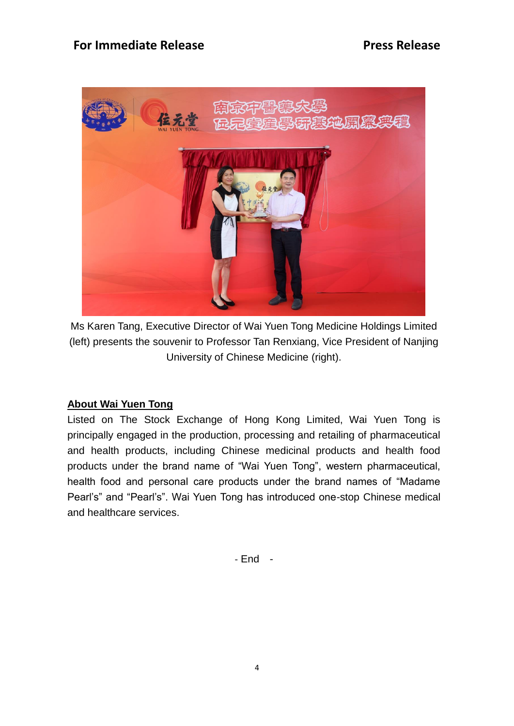

Ms Karen Tang, Executive Director of Wai Yuen Tong Medicine Holdings Limited (left) presents the souvenir to Professor Tan Renxiang, Vice President of Nanjing University of Chinese Medicine (right).

#### **About Wai Yuen Tong**

Listed on The Stock Exchange of Hong Kong Limited, Wai Yuen Tong is principally engaged in the production, processing and retailing of pharmaceutical and health products, including Chinese medicinal products and health food products under the brand name of "Wai Yuen Tong", western pharmaceutical, health food and personal care products under the brand names of "Madame Pearl's" and "Pearl's". Wai Yuen Tong has introduced one-stop Chinese medical and healthcare services.

- End -